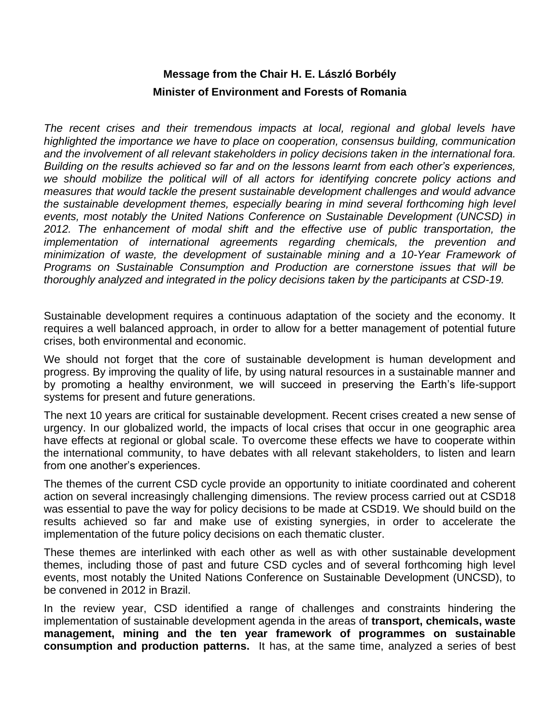## **Message from the Chair H. E. László Borbély Minister of Environment and Forests of Romania**

*The recent crises and their tremendous impacts at local, regional and global levels have highlighted the importance we have to place on cooperation, consensus building, communication and the involvement of all relevant stakeholders in policy decisions taken in the international fora. Building on the results achieved so far and on the lessons learnt from each other's experiences, we should mobilize the political will of all actors for identifying concrete policy actions and measures that would tackle the present sustainable development challenges and would advance the sustainable development themes, especially bearing in mind several forthcoming high level events, most notably the United Nations Conference on Sustainable Development (UNCSD) in 2012. The enhancement of modal shift and the effective use of public transportation, the implementation of international agreements regarding chemicals, the prevention and minimization of waste, the development of sustainable mining and a 10-Year Framework of Programs on Sustainable Consumption and Production are cornerstone issues that will be thoroughly analyzed and integrated in the policy decisions taken by the participants at CSD-19.* 

Sustainable development requires a continuous adaptation of the society and the economy. It requires a well balanced approach, in order to allow for a better management of potential future crises, both environmental and economic.

We should not forget that the core of sustainable development is human development and progress. By improving the quality of life, by using natural resources in a sustainable manner and by promoting a healthy environment, we will succeed in preserving the Earth's life-support systems for present and future generations.

The next 10 years are critical for sustainable development. Recent crises created a new sense of urgency. In our globalized world, the impacts of local crises that occur in one geographic area have effects at regional or global scale. To overcome these effects we have to cooperate within the international community, to have debates with all relevant stakeholders, to listen and learn from one another's experiences.

The themes of the current CSD cycle provide an opportunity to initiate coordinated and coherent action on several increasingly challenging dimensions. The review process carried out at CSD18 was essential to pave the way for policy decisions to be made at CSD19. We should build on the results achieved so far and make use of existing synergies, in order to accelerate the implementation of the future policy decisions on each thematic cluster.

These themes are interlinked with each other as well as with other sustainable development themes, including those of past and future CSD cycles and of several forthcoming high level events, most notably the United Nations Conference on Sustainable Development (UNCSD), to be convened in 2012 in Brazil.

In the review year, CSD identified a range of challenges and constraints hindering the implementation of sustainable development agenda in the areas of **transport, chemicals, waste management, mining and the ten year framework of programmes on sustainable consumption and production patterns.** It has, at the same time, analyzed a series of best